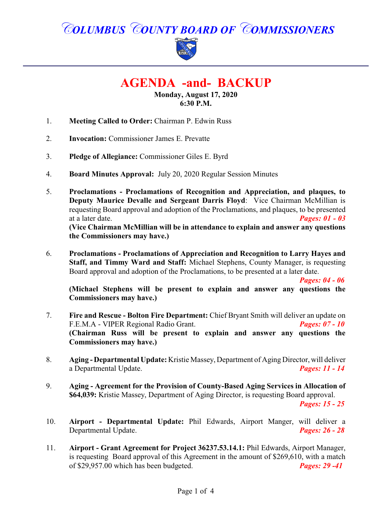*COLUMBUS COUNTY BOARD OF COMMISSIONERS*



# **AGENDA -and- BACKUP**

**Monday, August 17, 2020 6:30 P.M.**

- 1. **Meeting Called to Order:** Chairman P. Edwin Russ
- 2. **Invocation:** Commissioner James E. Prevatte
- 3. **Pledge of Allegiance:** Commissioner Giles E. Byrd
- 4. **Board Minutes Approval:** July 20, 2020 Regular Session Minutes
- 5. **Proclamations - Proclamations of Recognition and Appreciation, and plaques, to Deputy Maurice Devalle and Sergeant Darris Floyd**: Vice Chairman McMillian is requesting Board approval and adoption of the Proclamations, and plaques, to be presented at a later date. *Pages: 01 - 03*  **(Vice Chairman McMillian will be in attendance to explain and answer any questions the Commissioners may have.)**
- 6. **Proclamations - Proclamations of Appreciation and Recognition to Larry Hayes and Staff, and Timmy Ward and Staff:** Michael Stephens, County Manager, is requesting Board approval and adoption of the Proclamations, to be presented at a later date.

*Pages: 04 - 06*

**(Michael Stephens will be present to explain and answer any questions the Commissioners may have.)**

- 7. **Fire and Rescue Bolton Fire Department:** Chief Bryant Smith will deliver an update on F.E.M.A VIPER Regional Radio Grant. F.E.M.A - VIPER Regional Radio Grant. **(Chairman Russ will be present to explain and answer any questions the Commissioners may have.)**
- 8. **Aging Departmental Update:** Kristie Massey, Department of Aging Director, will deliver a Departmental Update. *Pages: 11 - 14*
- 9. **Aging Agreement for the Provision of County-Based Aging Services in Allocation of \$64,039:** Kristie Massey, Department of Aging Director, is requesting Board approval.

*Pages: 15 - 25*

- 10. **Airport Departmental Update:** Phil Edwards, Airport Manger, will deliver a Departmental Update. *Pages: 26 - 28*
- 11. **Airport Grant Agreement for Project 36237.53.14.1:** Phil Edwards, Airport Manager, is requesting Board approval of this Agreement in the amount of \$269,610, with a match of \$29,957.00 which has been budgeted. *Pages: 29 -41*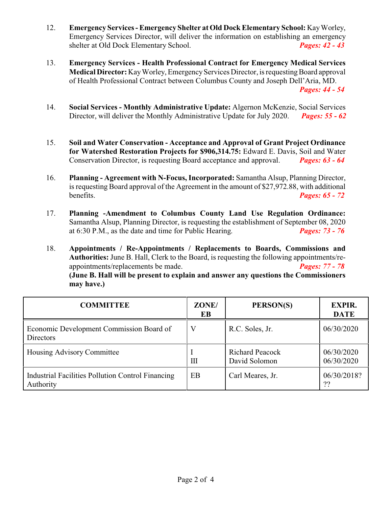- 12. **Emergency Services Emergency Shelter at Old Dock Elementary School:** KayWorley, Emergency Services Director, will deliver the information on establishing an emergency shelter at Old Dock Elementary School. *Pages: 42 - 43*
- 13. **Emergency Services - Health Professional Contract for Emergency Medical Services Medical Director:** Kay Worley, Emergency Services Director, is requesting Board approval of Health Professional Contract between Columbus County and Joseph Dell'Aria, MD. *Pages: 44 - 54*
- 14. **Social Services Monthly Administrative Update:** Algernon McKenzie, Social Services Director, will deliver the Monthly Administrative Update for July 2020. *Pages: 55 - 62*
- 15. **Soil and Water Conservation Acceptance and Approval of Grant Project Ordinance for Watershed Restoration Projects for \$906,314.75:** Edward E. Davis, Soil and Water Conservation Director, is requesting Board acceptance and approval. *Pages: 63 - 64*
- 16. **Planning Agreement with N-Focus, Incorporated:** Samantha Alsup, Planning Director, is requesting Board approval of the Agreement in the amount of \$27,972.88, with additional benefits. *Pages: 65 - 72*
- 17. **Planning -Amendment to Columbus County Land Use Regulation Ordinance:** Samantha Alsup, Planning Director, is requesting the establishment of September 08, 2020 at 6:30 P.M., as the date and time for Public Hearing. *Pages: 73 - 76*
- 18. **Appointments / Re-Appointments / Replacements to Boards, Commissions and Authorities:** June B. Hall, Clerk to the Board, is requesting the following appointments/reappointments/replacements be made. *Pages: 77 - 78* **(June B. Hall will be present to explain and answer any questions the Commissioners may have.)**

| <b>COMMITTEE</b>                                                      | ZONE/<br>EB | PERSON(S)                               | <b>EXPIR.</b><br><b>DATE</b> |
|-----------------------------------------------------------------------|-------------|-----------------------------------------|------------------------------|
| Economic Development Commission Board of<br><b>Directors</b>          |             | R.C. Soles, Jr.                         | 06/30/2020                   |
| Housing Advisory Committee                                            | Ш           | <b>Richard Peacock</b><br>David Solomon | 06/30/2020<br>06/30/2020     |
| <b>Industrial Facilities Pollution Control Financing</b><br>Authority | EB          | Carl Meares, Jr.                        | 06/30/2018?<br>??            |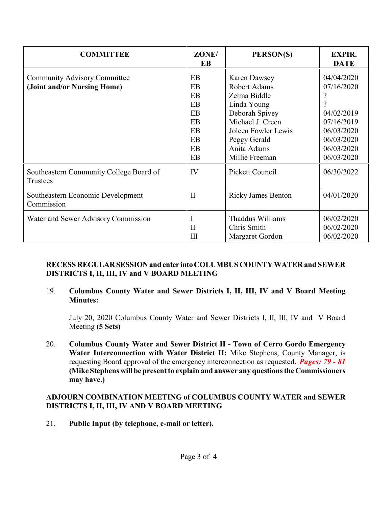| <b>COMMITTEE</b>                                                   | ZONE/<br>EB                                              | PERSON(S)                                                                                                                                                                               | <b>EXPIR.</b><br><b>DATE</b>                                                                                 |
|--------------------------------------------------------------------|----------------------------------------------------------|-----------------------------------------------------------------------------------------------------------------------------------------------------------------------------------------|--------------------------------------------------------------------------------------------------------------|
| <b>Community Advisory Committee</b><br>(Joint and/or Nursing Home) | EB<br>EB<br>EB<br>EB<br>EB<br>EB<br>EB<br>EB<br>EB<br>EB | <b>Karen Dawsey</b><br><b>Robert Adams</b><br>Zelma Biddle<br>Linda Young<br>Deborah Spivey<br>Michael J. Creen<br>Joleen Fowler Lewis<br>Peggy Gerald<br>Anita Adams<br>Millie Freeman | 04/04/2020<br>07/16/2020<br>04/02/2019<br>07/16/2019<br>06/03/2020<br>06/03/2020<br>06/03/2020<br>06/03/2020 |
| Southeastern Community College Board of<br>Trustees                | IV                                                       | Pickett Council                                                                                                                                                                         | 06/30/2022                                                                                                   |
| Southeastern Economic Development<br>Commission                    | $\mathbf{I}$                                             | <b>Ricky James Benton</b>                                                                                                                                                               | 04/01/2020                                                                                                   |
| Water and Sewer Advisory Commission                                | Ι<br>$\mathbf{I}$<br>Ш                                   | Thaddus Williams<br>Chris Smith<br>Margaret Gordon                                                                                                                                      | 06/02/2020<br>06/02/2020<br>06/02/2020                                                                       |

#### **RECESS REGULARSESSIONand enter intoCOLUMBUS COUNTY WATER and SEWER DISTRICTS I, II, III, IV and V BOARD MEETING**

19. **Columbus County Water and Sewer Districts I, II, III, IV and V Board Meeting Minutes:**

July 20, 2020 Columbus County Water and Sewer Districts I, II, III, IV and V Board Meeting **(5 Sets)**

20. **Columbus County Water and Sewer District II - Town of Cerro Gordo Emergency Water Interconnection with Water District II:** Mike Stephens, County Manager, is requesting Board approval of the emergency interconnection as requested. *Pages: 79 - 81*  **(Mike Stephens will be present to explain and answer any questions the Commissioners may have.)**

## **ADJOURN COMBINATION MEETING of COLUMBUS COUNTY WATER and SEWER DISTRICTS I, II, III, IV AND V BOARD MEETING**

21. **Public Input (by telephone, e-mail or letter).**